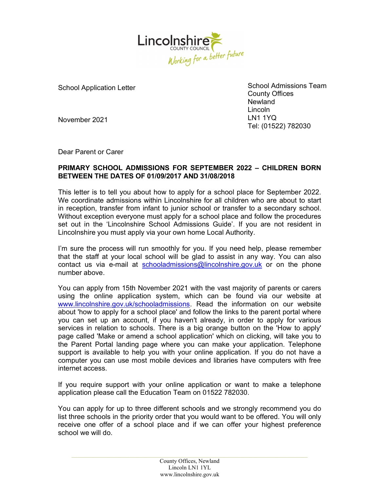

School Application Letter

School Admissions Team County Offices **Newland** Lincoln LN1 1YQ Tel: (01522) 782030

November 2021

Dear Parent or Carer

## PRIMARY SCHOOL ADMISSIONS FOR SEPTEMBER 2022 – CHILDREN BORN BETWEEN THE DATES OF 01/09/2017 AND 31/08/2018

This letter is to tell you about how to apply for a school place for September 2022. We coordinate admissions within Lincolnshire for all children who are about to start in reception, transfer from infant to junior school or transfer to a secondary school. Without exception everyone must apply for a school place and follow the procedures set out in the 'Lincolnshire School Admissions Guide'. If you are not resident in Lincolnshire you must apply via your own home Local Authority.

I'm sure the process will run smoothly for you. If you need help, please remember that the staff at your local school will be glad to assist in any way. You can also contact us via e-mail at schooladmissions@lincolnshire.gov.uk or on the phone number above.

You can apply from 15th November 2021 with the vast majority of parents or carers using the online application system, which can be found via our website at www.lincolnshire.gov.uk/schooladmissions. Read the information on our website about 'how to apply for a school place' and follow the links to the parent portal where you can set up an account, if you haven't already, in order to apply for various services in relation to schools. There is a big orange button on the 'How to apply' page called 'Make or amend a school application' which on clicking, will take you to the Parent Portal landing page where you can make your application. Telephone support is available to help you with your online application. If you do not have a computer you can use most mobile devices and libraries have computers with free internet access.

If you require support with your online application or want to make a telephone application please call the Education Team on 01522 782030.

You can apply for up to three different schools and we strongly recommend you do list three schools in the priority order that you would want to be offered. You will only receive one offer of a school place and if we can offer your highest preference school we will do.